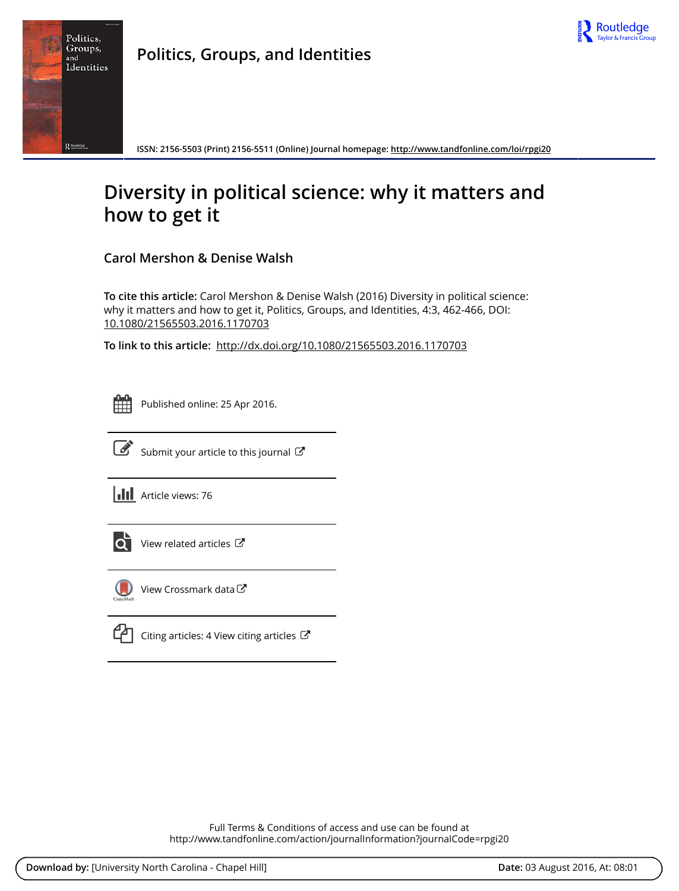



**ISSN: 2156-5503 (Print) 2156-5511 (Online) Journal homepage:<http://www.tandfonline.com/loi/rpgi20>**

# **Diversity in political science: why it matters and how to get it**

**Carol Mershon & Denise Walsh**

**To cite this article:** Carol Mershon & Denise Walsh (2016) Diversity in political science: why it matters and how to get it, Politics, Groups, and Identities, 4:3, 462-466, DOI: [10.1080/21565503.2016.1170703](http://www.tandfonline.com/action/showCitFormats?doi=10.1080/21565503.2016.1170703)

**To link to this article:** <http://dx.doi.org/10.1080/21565503.2016.1170703>

Published online: 25 Apr 2016.



 $\overline{\mathscr{L}}$  [Submit your article to this journal](http://www.tandfonline.com/action/authorSubmission?journalCode=rpgi20&page=instructions)  $\mathbb{Z}$ 

**III** Article views: 76



 $\overrightarrow{Q}$  [View related articles](http://www.tandfonline.com/doi/mlt/10.1080/21565503.2016.1170703)  $\overrightarrow{C}$ 



[View Crossmark data](http://crossmark.crossref.org/dialog/?doi=10.1080/21565503.2016.1170703&domain=pdf&date_stamp=2016-04-25)



 $\mathbb{C}$  [Citing articles: 4 View citing articles](http://www.tandfonline.com/doi/citedby/10.1080/21565503.2016.1170703#tabModule)  $\mathbb{C}$ 

Full Terms & Conditions of access and use can be found at <http://www.tandfonline.com/action/journalInformation?journalCode=rpgi20>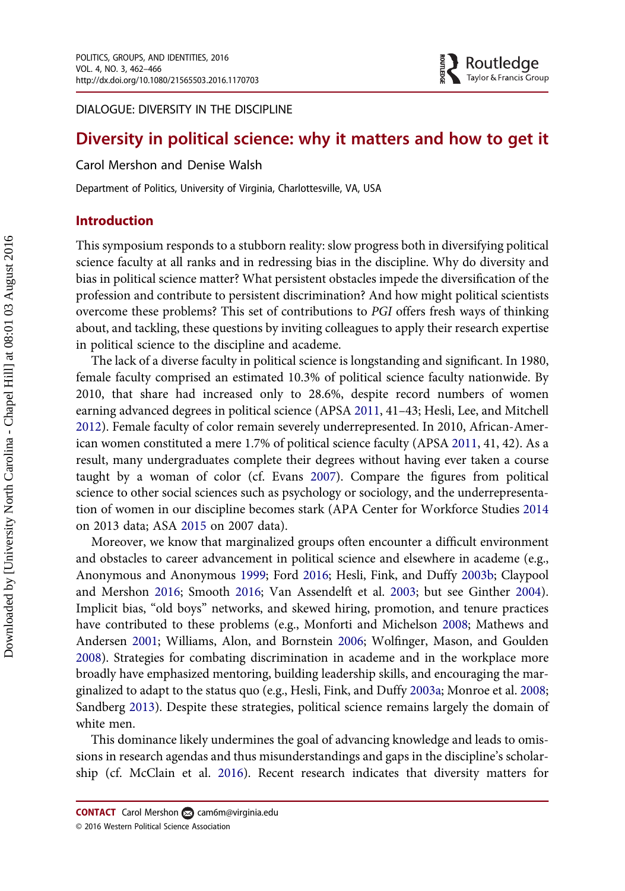<span id="page-1-0"></span>DIALOGUE: DIVERSITY IN THE DISCIPLINE

## Diversity in political science: why it matters and how to get it

Carol Mershon and Denise Walsh

Department of Politics, University of Virginia, Charlottesville, VA, USA

### Introduction

This symposium responds to a stubborn reality: slow progress both in diversifying political science faculty at all ranks and in redressing bias in the discipline. Why do diversity and bias in political science matter? What persistent obstacles impede the diversification of the profession and contribute to persistent discrimination? And how might political scientists overcome these problems? This set of contributions to PGI offers fresh ways of thinking about, and tackling, these questions by inviting colleagues to apply their research expertise in political science to the discipline and academe.

The lack of a diverse faculty in political science is longstanding and significant. In 1980, female faculty comprised an estimated 10.3% of political science faculty nationwide. By 2010, that share had increased only to 28.6%, despite record numbers of women earning advanced degrees in political science (APSA [2011,](#page-4-0) 41–43; Hesli, Lee, and Mitchell [2012](#page-5-0)). Female faculty of color remain severely underrepresented. In 2010, African-American women constituted a mere 1.7% of political science faculty (APSA [2011,](#page-4-0) 41, 42). As a result, many undergraduates complete their degrees without having ever taken a course taught by a woman of color (cf. Evans [2007](#page-4-0)). Compare the figures from political science to other social sciences such as psychology or sociology, and the underrepresentation of women in our discipline becomes stark (APA Center for Workforce Studies [2014](#page-4-0) on 2013 data; ASA [2015](#page-4-0) on 2007 data).

Moreover, we know that marginalized groups often encounter a difficult environment and obstacles to career advancement in political science and elsewhere in academe (e.g., Anonymous and Anonymous [1999;](#page-4-0) Ford [2016](#page-4-0); Hesli, Fink, and Duffy [2003b;](#page-5-0) Claypool and Mershon [2016](#page-4-0); Smooth [2016;](#page-5-0) Van Assendelft et al. [2003](#page-5-0); but see Ginther [2004](#page-4-0)). Implicit bias, "old boys" networks, and skewed hiring, promotion, and tenure practices have contributed to these problems (e.g., Monforti and Michelson [2008](#page-5-0); Mathews and Andersen [2001;](#page-5-0) Williams, Alon, and Bornstein [2006;](#page-5-0) Wolfinger, Mason, and Goulden [2008](#page-5-0)). Strategies for combating discrimination in academe and in the workplace more broadly have emphasized mentoring, building leadership skills, and encouraging the marginalized to adapt to the status quo (e.g., Hesli, Fink, and Duffy [2003a](#page-5-0); Monroe et al. [2008;](#page-5-0) Sandberg [2013](#page-5-0)). Despite these strategies, political science remains largely the domain of white men.

This dominance likely undermines the goal of advancing knowledge and leads to omissions in research agendas and thus misunderstandings and gaps in the discipline's scholarship (cf. McClain et al. [2016](#page-5-0)). Recent research indicates that diversity matters for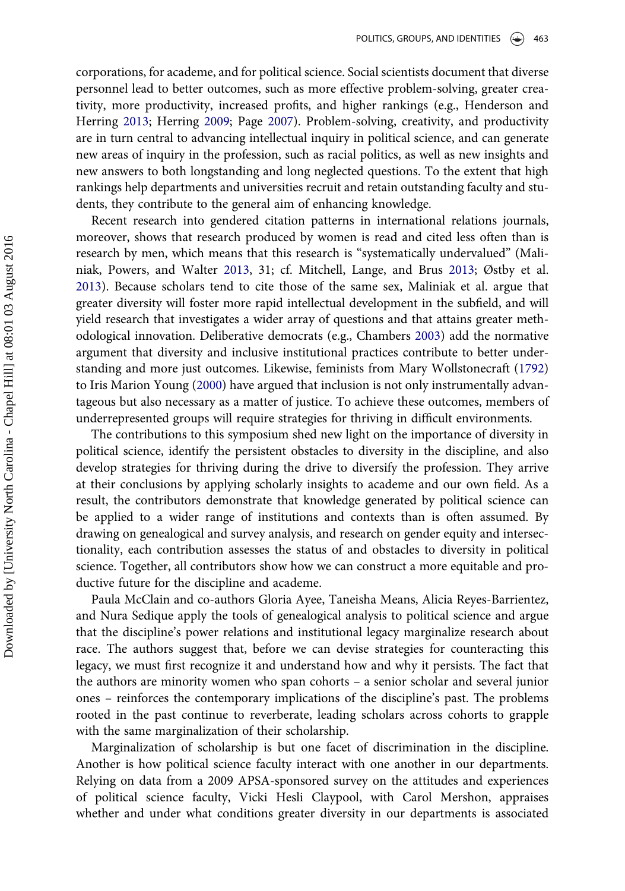<span id="page-2-0"></span>corporations, for academe, and for political science. Social scientists document that diverse personnel lead to better outcomes, such as more effective problem-solving, greater creativity, more productivity, increased profits, and higher rankings (e.g., Henderson and Herring [2013](#page-4-0); Herring [2009](#page-4-0); Page [2007\)](#page-5-0). Problem-solving, creativity, and productivity are in turn central to advancing intellectual inquiry in political science, and can generate new areas of inquiry in the profession, such as racial politics, as well as new insights and new answers to both longstanding and long neglected questions. To the extent that high rankings help departments and universities recruit and retain outstanding faculty and students, they contribute to the general aim of enhancing knowledge.

Recent research into gendered citation patterns in international relations journals, moreover, shows that research produced by women is read and cited less often than is research by men, which means that this research is "systematically undervalued" (Maliniak, Powers, and Walter [2013,](#page-5-0) 31; cf. Mitchell, Lange, and Brus [2013;](#page-5-0) Østby et al. [2013](#page-5-0)). Because scholars tend to cite those of the same sex, Maliniak et al. argue that greater diversity will foster more rapid intellectual development in the subfield, and will yield research that investigates a wider array of questions and that attains greater methodological innovation. Deliberative democrats (e.g., Chambers [2003\)](#page-4-0) add the normative argument that diversity and inclusive institutional practices contribute to better understanding and more just outcomes. Likewise, feminists from Mary Wollstonecraft ([1792\)](#page-5-0) to Iris Marion Young [\(2000](#page-5-0)) have argued that inclusion is not only instrumentally advantageous but also necessary as a matter of justice. To achieve these outcomes, members of underrepresented groups will require strategies for thriving in difficult environments.

The contributions to this symposium shed new light on the importance of diversity in political science, identify the persistent obstacles to diversity in the discipline, and also develop strategies for thriving during the drive to diversify the profession. They arrive at their conclusions by applying scholarly insights to academe and our own field. As a result, the contributors demonstrate that knowledge generated by political science can be applied to a wider range of institutions and contexts than is often assumed. By drawing on genealogical and survey analysis, and research on gender equity and intersectionality, each contribution assesses the status of and obstacles to diversity in political science. Together, all contributors show how we can construct a more equitable and productive future for the discipline and academe.

Paula McClain and co-authors Gloria Ayee, Taneisha Means, Alicia Reyes-Barrientez, and Nura Sedique apply the tools of genealogical analysis to political science and argue that the discipline's power relations and institutional legacy marginalize research about race. The authors suggest that, before we can devise strategies for counteracting this legacy, we must first recognize it and understand how and why it persists. The fact that the authors are minority women who span cohorts – a senior scholar and several junior ones – reinforces the contemporary implications of the discipline's past. The problems rooted in the past continue to reverberate, leading scholars across cohorts to grapple with the same marginalization of their scholarship.

Marginalization of scholarship is but one facet of discrimination in the discipline. Another is how political science faculty interact with one another in our departments. Relying on data from a 2009 APSA-sponsored survey on the attitudes and experiences of political science faculty, Vicki Hesli Claypool, with Carol Mershon, appraises whether and under what conditions greater diversity in our departments is associated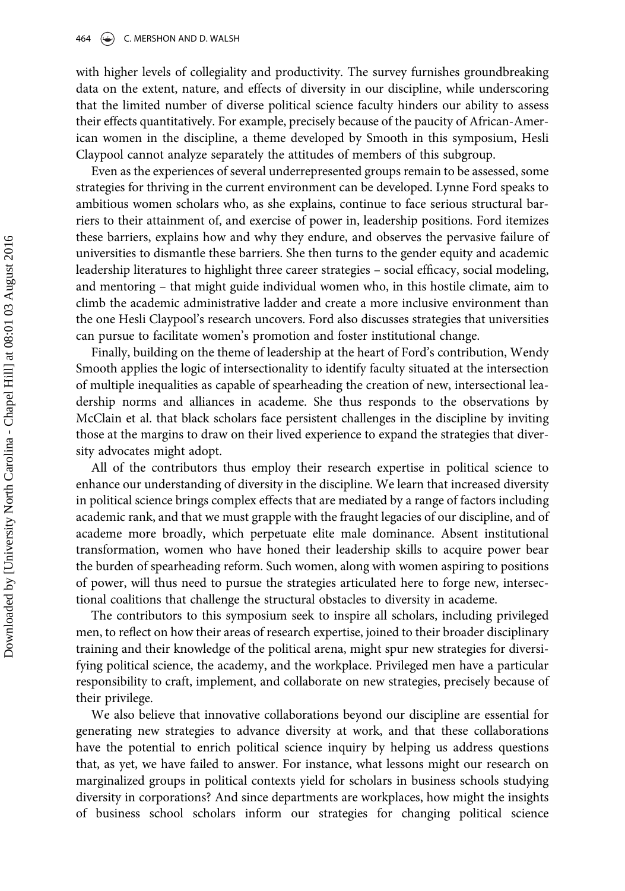with higher levels of collegiality and productivity. The survey furnishes groundbreaking data on the extent, nature, and effects of diversity in our discipline, while underscoring that the limited number of diverse political science faculty hinders our ability to assess their effects quantitatively. For example, precisely because of the paucity of African-American women in the discipline, a theme developed by Smooth in this symposium, Hesli Claypool cannot analyze separately the attitudes of members of this subgroup.

Even as the experiences of several underrepresented groups remain to be assessed, some strategies for thriving in the current environment can be developed. Lynne Ford speaks to ambitious women scholars who, as she explains, continue to face serious structural barriers to their attainment of, and exercise of power in, leadership positions. Ford itemizes these barriers, explains how and why they endure, and observes the pervasive failure of universities to dismantle these barriers. She then turns to the gender equity and academic leadership literatures to highlight three career strategies – social efficacy, social modeling, and mentoring – that might guide individual women who, in this hostile climate, aim to climb the academic administrative ladder and create a more inclusive environment than the one Hesli Claypool's research uncovers. Ford also discusses strategies that universities can pursue to facilitate women's promotion and foster institutional change.

Finally, building on the theme of leadership at the heart of Ford's contribution, Wendy Smooth applies the logic of intersectionality to identify faculty situated at the intersection of multiple inequalities as capable of spearheading the creation of new, intersectional leadership norms and alliances in academe. She thus responds to the observations by McClain et al. that black scholars face persistent challenges in the discipline by inviting those at the margins to draw on their lived experience to expand the strategies that diversity advocates might adopt.

All of the contributors thus employ their research expertise in political science to enhance our understanding of diversity in the discipline. We learn that increased diversity in political science brings complex effects that are mediated by a range of factors including academic rank, and that we must grapple with the fraught legacies of our discipline, and of academe more broadly, which perpetuate elite male dominance. Absent institutional transformation, women who have honed their leadership skills to acquire power bear the burden of spearheading reform. Such women, along with women aspiring to positions of power, will thus need to pursue the strategies articulated here to forge new, intersectional coalitions that challenge the structural obstacles to diversity in academe.

The contributors to this symposium seek to inspire all scholars, including privileged men, to reflect on how their areas of research expertise, joined to their broader disciplinary training and their knowledge of the political arena, might spur new strategies for diversifying political science, the academy, and the workplace. Privileged men have a particular responsibility to craft, implement, and collaborate on new strategies, precisely because of their privilege.

We also believe that innovative collaborations beyond our discipline are essential for generating new strategies to advance diversity at work, and that these collaborations have the potential to enrich political science inquiry by helping us address questions that, as yet, we have failed to answer. For instance, what lessons might our research on marginalized groups in political contexts yield for scholars in business schools studying diversity in corporations? And since departments are workplaces, how might the insights of business school scholars inform our strategies for changing political science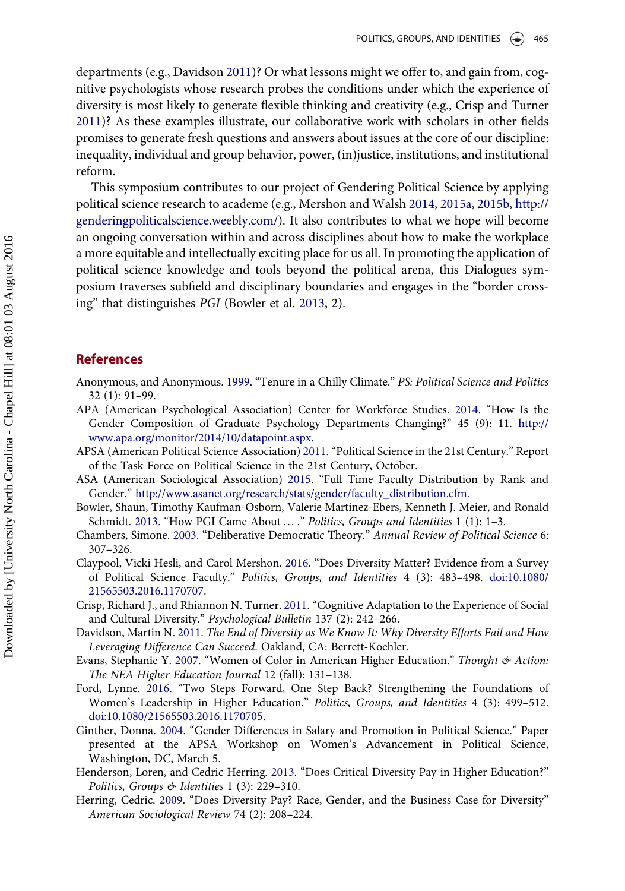<span id="page-4-0"></span>departments (e.g., Davidson 2011)? Or what lessons might we offer to, and gain from, cognitive psychologists whose research probes the conditions under which the experience of diversity is most likely to generate flexible thinking and creativity (e.g., Crisp and Turner 2011)? As these examples illustrate, our collaborative work with scholars in other fields promises to generate fresh questions and answers about issues at the core of our discipline: inequality, individual and group behavior, power, (in)justice, institutions, and institutional reform.

This symposium contributes to our project of Gendering Political Science by applying political science research to academe (e.g., Mershon and Walsh [2014](#page-5-0), [2015a](#page-5-0), [2015b](#page-5-0), [http://](http://genderingpoliticalscience.weebly.com/) [genderingpoliticalscience.weebly.com/](http://genderingpoliticalscience.weebly.com/)). It also contributes to what we hope will become an ongoing conversation within and across disciplines about how to make the workplace a more equitable and intellectually exciting place for us all. In promoting the application of political science knowledge and tools beyond the political arena, this Dialogues symposium traverses subfield and disciplinary boundaries and engages in the "border crossing" that distinguishes PGI (Bowler et al. 2013, 2).

#### References

- Anonymous, and Anonymous. [1999](#page-1-0). "Tenure in a Chilly Climate." PS: Political Science and Politics 32 (1): 91–99.
- APA (American Psychological Association) Center for Workforce Studies. [2014.](#page-1-0) "How Is the Gender Composition of Graduate Psychology Departments Changing?" 45 (9): 11. [http://](http://www.apa.org/monitor/2014/10/datapoint.aspx.) [www.apa.org/monitor/2014/10/datapoint.aspx.](http://www.apa.org/monitor/2014/10/datapoint.aspx.)
- APSA (American Political Science Association) [2011.](#page-1-0) "Political Science in the 21st Century." Report of the Task Force on Political Science in the 21st Century, October.
- ASA (American Sociological Association) [2015.](#page-1-0) "Full Time Faculty Distribution by Rank and Gender." [http://www.asanet.org/research/stats/gender/faculty\\_distribution.cfm.](http://www.asanet.org/research/stats/gender/faculty_distribution.cfm.)
- Bowler, Shaun, Timothy Kaufman-Osborn, Valerie Martinez-Ebers, Kenneth J. Meier, and Ronald Schmidt. 2013. "How PGI Came About ...." Politics, Groups and Identities 1 (1): 1-3.
- Chambers, Simone. [2003](#page-2-0). "Deliberative Democratic Theory." Annual Review of Political Science 6: 307–326.
- Claypool, Vicki Hesli, and Carol Mershon. [2016](#page-1-0). "Does Diversity Matter? Evidence from a Survey of Political Science Faculty." Politics, Groups, and Identities 4 (3): 483–498. [doi:10.1080/](http://dx.doi.org/10.1080/21565503.2016.1170707) [21565503.2016.1170707.](http://dx.doi.org/10.1080/21565503.2016.1170707)
- Crisp, Richard J., and Rhiannon N. Turner. 2011. "Cognitive Adaptation to the Experience of Social and Cultural Diversity." Psychological Bulletin 137 (2): 242–266.
- Davidson, Martin N. 2011. The End of Diversity as We Know It: Why Diversity Efforts Fail and How Leveraging Difference Can Succeed. Oakland, CA: Berrett-Koehler.
- Evans, Stephanie Y. [2007.](#page-1-0) "Women of Color in American Higher Education." Thought & Action: The NEA Higher Education Journal 12 (fall): 131–138.
- Ford, Lynne. [2016.](#page-1-0) "Two Steps Forward, One Step Back? Strengthening the Foundations of Women's Leadership in Higher Education." Politics, Groups, and Identities 4 (3): 499–512. [doi:10.1080/21565503.2016.1170705.](http://dx.doi.org/10.1080/21565503.2016.1170705)
- Ginther, Donna. [2004.](#page-1-0) "Gender Differences in Salary and Promotion in Political Science." Paper presented at the APSA Workshop on Women's Advancement in Political Science, Washington, DC, March 5.
- Henderson, Loren, and Cedric Herring. [2013](#page-2-0). "Does Critical Diversity Pay in Higher Education?" Politics, Groups & Identities 1 (3): 229–310.
- Herring, Cedric. [2009](#page-2-0). "Does Diversity Pay? Race, Gender, and the Business Case for Diversity" American Sociological Review 74 (2): 208–224.